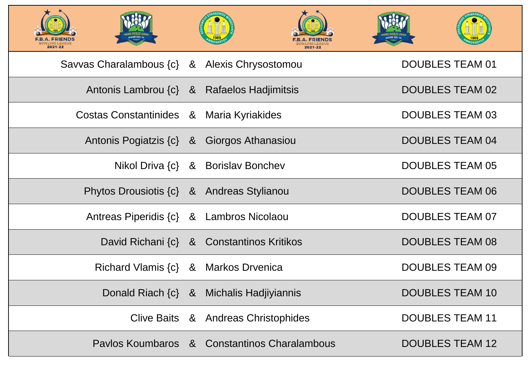| <b>LING LEAGUE</b><br>2021-22 |                                           | <b>FRIEN</b><br><b>OWLING LEAGUE</b><br>2021-22 |            |
|-------------------------------|-------------------------------------------|-------------------------------------------------|------------|
|                               |                                           | Savvas Charalambous {c} & Alexis Chrysostomou   | DOl        |
|                               |                                           | Antonis Lambrou {c} & Rafaelos Hadjimitsis      | <b>DOI</b> |
|                               | Costas Constantinides & Maria Kyriakides  |                                                 | <b>DOI</b> |
|                               |                                           | Antonis Pogiatzis {c} & Giorgos Athanasiou      | <b>DOI</b> |
|                               |                                           | Nikol Driva {c} & Borislav Bonchev              | <b>DOI</b> |
|                               | Phytos Drousiotis {c} & Andreas Stylianou |                                                 | <b>DOI</b> |
|                               | Antreas Piperidis {c} & Lambros Nicolaou  |                                                 | <b>DOI</b> |
|                               |                                           | David Richani {c} & Constantinos Kritikos       | <b>DOI</b> |
|                               | Richard Vlamis {c} & Markos Drvenica      |                                                 | <b>DOI</b> |
|                               |                                           | Donald Riach {c} & Michalis Hadjiyiannis        | <b>DOI</b> |
|                               |                                           | Clive Baits & Andreas Christophides             | <b>DOI</b> |
|                               |                                           | Paylos Koumbaros & Constantinos Charalambous    | DOl        |



# UBLES TEAM 01

# **JBLES TEAM 02**

### UBLES TEAM 03

## **JBLES TEAM 04**

# UBLES TEAM 05

### **JBLES TEAM 06**

# UBLES TEAM 07

### **JBLES TEAM 08**

### UBLES TEAM 09

### **JBLES TEAM 10**

# **UBLES TEAM 11**

### **JBLES TEAM 12**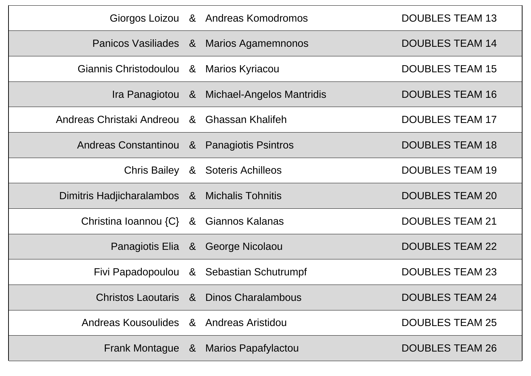|                                               |                | Giorgos Loizou & Andreas Komodromos        | <b>DOUBLES TEAM 13</b> |
|-----------------------------------------------|----------------|--------------------------------------------|------------------------|
|                                               |                | Panicos Vasiliades & Marios Agamemnonos    | <b>DOUBLES TEAM 14</b> |
| Giannis Christodoulou &                       |                | <b>Marios Kyriacou</b>                     | <b>DOUBLES TEAM 15</b> |
|                                               |                | Ira Panagiotou & Michael-Angelos Mantridis | <b>DOUBLES TEAM 16</b> |
| Andreas Christaki Andreou & Ghassan Khalifeh  |                |                                            | <b>DOUBLES TEAM 17</b> |
| Andreas Constantinou & Panagiotis Psintros    |                |                                            | <b>DOUBLES TEAM 18</b> |
| <b>Chris Bailey</b>                           | 8 <sup>2</sup> | <b>Soteris Achilleos</b>                   | <b>DOUBLES TEAM 19</b> |
| Dimitris Hadjicharalambos & Michalis Tohnitis |                |                                            | <b>DOUBLES TEAM 20</b> |
| Christina Ioannou {C} & Giannos Kalanas       |                |                                            | <b>DOUBLES TEAM 21</b> |
|                                               |                | Panagiotis Elia & George Nicolaou          | <b>DOUBLES TEAM 22</b> |
|                                               |                | Fivi Papadopoulou & Sebastian Schutrumpf   | <b>DOUBLES TEAM 23</b> |
|                                               |                | Christos Laoutaris & Dinos Charalambous    | <b>DOUBLES TEAM 24</b> |
| Andreas Kousoulides & Andreas Aristidou       |                |                                            | <b>DOUBLES TEAM 25</b> |
|                                               |                | Frank Montague & Marios Papafylactou       | <b>DOUBLES TEAM 26</b> |